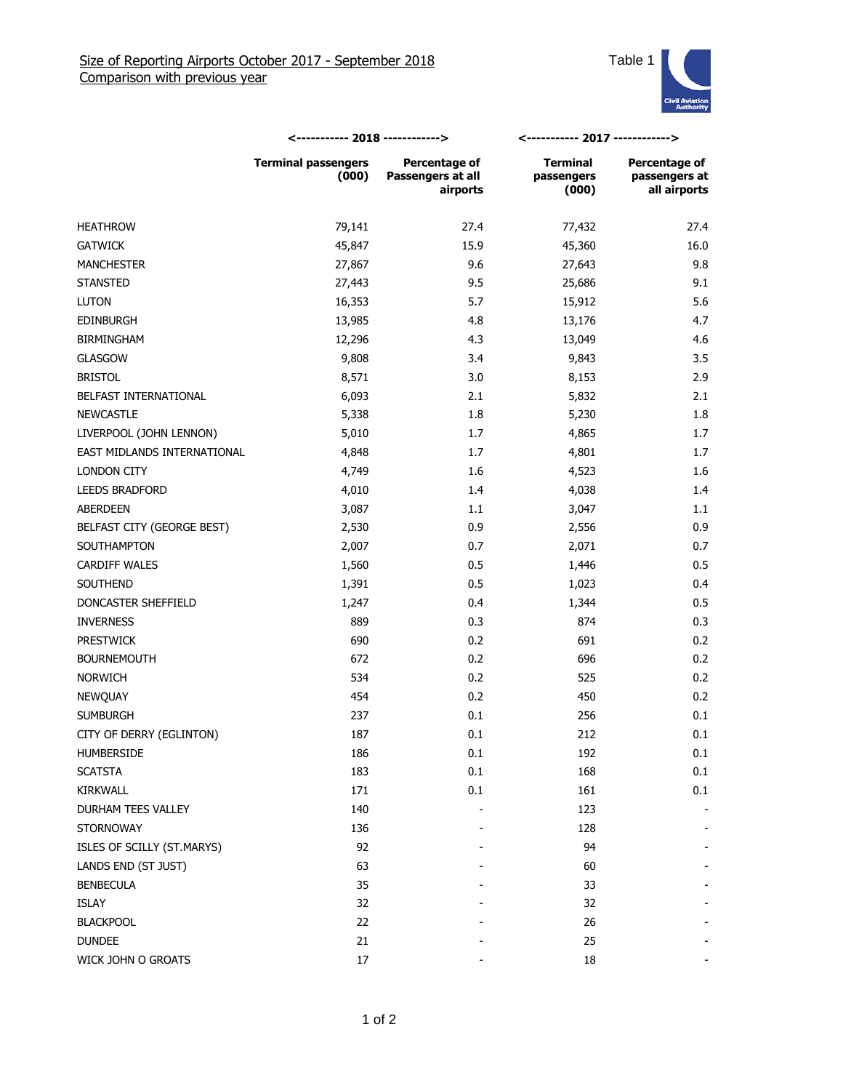

|                             | <----------- 2018 ------------>     |                                                | <----------- 2017 ------------>        |                                                |
|-----------------------------|-------------------------------------|------------------------------------------------|----------------------------------------|------------------------------------------------|
|                             | <b>Terminal passengers</b><br>(000) | Percentage of<br>Passengers at all<br>airports | <b>Terminal</b><br>passengers<br>(000) | Percentage of<br>passengers at<br>all airports |
| <b>HEATHROW</b>             | 79,141                              | 27.4                                           | 77,432                                 | 27.4                                           |
| <b>GATWICK</b>              | 45,847                              | 15.9                                           | 45,360                                 | 16.0                                           |
| <b>MANCHESTER</b>           | 27,867                              | 9.6                                            | 27,643                                 | 9.8                                            |
| <b>STANSTED</b>             | 27,443                              | 9.5                                            | 25,686                                 | 9.1                                            |
| <b>LUTON</b>                | 16,353                              | 5.7                                            | 15,912                                 | 5.6                                            |
| <b>EDINBURGH</b>            | 13,985                              | 4.8                                            | 13,176                                 | 4.7                                            |
| <b>BIRMINGHAM</b>           | 12,296                              | 4.3                                            | 13,049                                 | 4.6                                            |
| <b>GLASGOW</b>              | 9,808                               | 3.4                                            | 9,843                                  | 3.5                                            |
| <b>BRISTOL</b>              | 8,571                               | 3.0                                            | 8,153                                  | 2.9                                            |
| BELFAST INTERNATIONAL       | 6,093                               | 2.1                                            | 5,832                                  | 2.1                                            |
| <b>NEWCASTLE</b>            | 5,338                               | 1.8                                            | 5,230                                  | 1.8                                            |
| LIVERPOOL (JOHN LENNON)     | 5,010                               | 1.7                                            | 4,865                                  | 1.7                                            |
| EAST MIDLANDS INTERNATIONAL | 4,848                               | 1.7                                            | 4,801                                  | 1.7                                            |
| LONDON CITY                 | 4,749                               | 1.6                                            | 4,523                                  | 1.6                                            |
| <b>LEEDS BRADFORD</b>       | 4,010                               | 1.4                                            | 4,038                                  | 1.4                                            |
| ABERDEEN                    | 3,087                               | 1.1                                            | 3,047                                  | 1.1                                            |
| BELFAST CITY (GEORGE BEST)  | 2,530                               | 0.9                                            | 2,556                                  | 0.9                                            |
| SOUTHAMPTON                 | 2,007                               | 0.7                                            | 2,071                                  | 0.7                                            |
| <b>CARDIFF WALES</b>        | 1,560                               | 0.5                                            | 1,446                                  | 0.5                                            |
| <b>SOUTHEND</b>             | 1,391                               | 0.5                                            | 1,023                                  | 0.4                                            |
| DONCASTER SHEFFIELD         | 1,247                               | 0.4                                            | 1,344                                  | 0.5                                            |
| <b>INVERNESS</b>            | 889                                 | 0.3                                            | 874                                    | 0.3                                            |
| <b>PRESTWICK</b>            | 690                                 | 0.2                                            | 691                                    | 0.2                                            |
| <b>BOURNEMOUTH</b>          | 672                                 | 0.2                                            | 696                                    | 0.2                                            |
| <b>NORWICH</b>              | 534                                 | 0.2                                            | 525                                    | 0.2                                            |
| NEWQUAY                     | 454                                 | 0.2                                            | 450                                    | 0.2                                            |
| <b>SUMBURGH</b>             | 237                                 | 0.1                                            | 256                                    | 0.1                                            |
| CITY OF DERRY (EGLINTON)    | 187                                 | 0.1                                            | 212                                    | 0.1                                            |
| HUMBERSIDE                  | 186                                 | 0.1                                            | 192                                    | 0.1                                            |
| <b>SCATSTA</b>              | 183                                 | 0.1                                            | 168                                    | 0.1                                            |
| <b>KIRKWALL</b>             | 171                                 | 0.1                                            | 161                                    | 0.1                                            |
| DURHAM TEES VALLEY          | 140                                 |                                                | 123                                    |                                                |
| <b>STORNOWAY</b>            | 136                                 |                                                | 128                                    |                                                |
| ISLES OF SCILLY (ST.MARYS)  | 92                                  |                                                | 94                                     |                                                |
| LANDS END (ST JUST)         | 63                                  |                                                | 60                                     |                                                |
| <b>BENBECULA</b>            | 35                                  |                                                | 33                                     |                                                |
| <b>ISLAY</b>                | 32                                  |                                                | 32                                     |                                                |
| <b>BLACKPOOL</b>            | 22                                  |                                                | 26                                     |                                                |
| <b>DUNDEE</b>               | 21                                  |                                                | 25                                     |                                                |
| WICK JOHN O GROATS          | $17\,$                              |                                                | 18                                     |                                                |